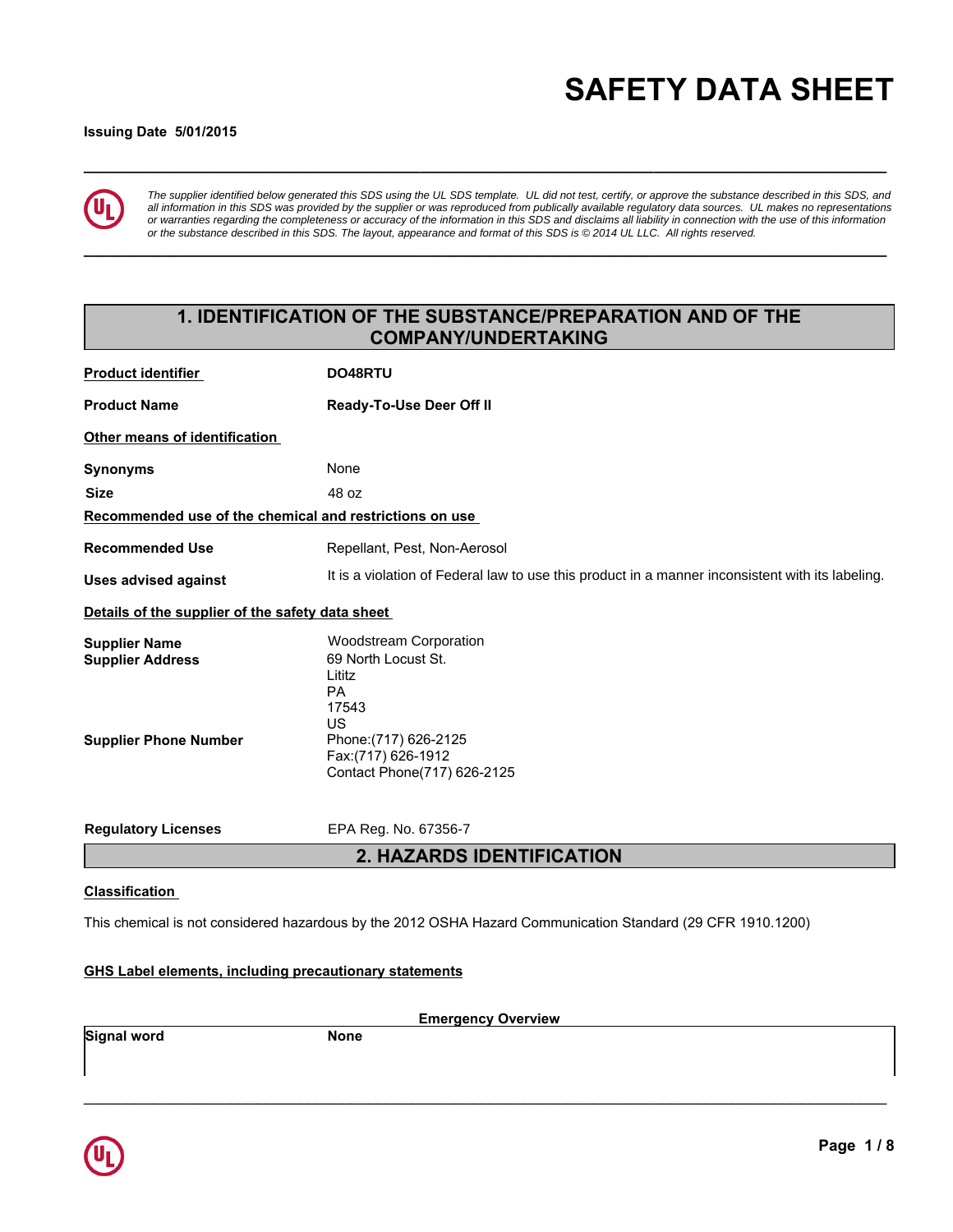# **\_\_\_\_\_\_\_\_\_\_\_\_\_\_\_\_\_\_\_\_\_\_\_\_\_\_\_\_\_\_\_\_\_\_\_\_\_\_\_\_\_\_\_\_\_\_\_\_\_\_\_\_\_\_\_\_\_\_\_\_\_\_\_\_\_\_\_\_\_\_\_\_\_\_\_\_\_\_\_\_\_\_\_\_\_\_\_\_\_\_\_\_\_ SAFETY DATA SHEET**

#### **Issuing Date 5/01/2015**



*The supplier identified below generated this SDS using the UL SDS template. UL did not test, certify, or approve the substance described in this SDS, and all information in this SDS was provided by the supplier or was reproduced from publically available regulatory data sources. UL makes no representations or warranties regarding the completeness or accuracy of the information in this SDS and disclaims all liability in connection with the use of this information or the substance described in this SDS. The layout, appearance and format of this SDS is © 2014 UL LLC. All rights reserved.*

**\_\_\_\_\_\_\_\_\_\_\_\_\_\_\_\_\_\_\_\_\_\_\_\_\_\_\_\_\_\_\_\_\_\_\_\_\_\_\_\_\_\_\_\_\_\_\_\_\_\_\_\_\_\_\_\_\_\_\_\_\_\_\_\_\_\_\_\_\_\_\_\_\_\_\_\_\_\_\_\_\_\_\_\_\_\_\_\_\_\_\_\_\_**

# **1. IDENTIFICATION OF THE SUBSTANCE/PREPARATION AND OF THE COMPANY/UNDERTAKING**

| <b>Product identifier</b>                               | DO48RTU                                                                                          |
|---------------------------------------------------------|--------------------------------------------------------------------------------------------------|
| <b>Product Name</b>                                     | Ready-To-Use Deer Off II                                                                         |
| Other means of identification                           |                                                                                                  |
| <b>Synonyms</b>                                         | None                                                                                             |
| <b>Size</b>                                             | 48 oz                                                                                            |
| Recommended use of the chemical and restrictions on use |                                                                                                  |
| <b>Recommended Use</b>                                  | Repellant, Pest, Non-Aerosol                                                                     |
| <b>Uses advised against</b>                             | It is a violation of Federal law to use this product in a manner inconsistent with its labeling. |
| Details of the supplier of the safety data sheet        |                                                                                                  |
| <b>Supplier Name</b>                                    | <b>Woodstream Corporation</b>                                                                    |
| <b>Supplier Address</b>                                 | 69 North Locust St.                                                                              |
|                                                         | Lititz<br><b>PA</b>                                                                              |
|                                                         | 17543                                                                                            |
|                                                         | US                                                                                               |
| <b>Supplier Phone Number</b>                            | Phone: (717) 626-2125                                                                            |
|                                                         | Fax:(717) 626-1912<br>Contact Phone(717) 626-2125                                                |
|                                                         |                                                                                                  |
| <b>Regulatory Licenses</b>                              | EPA Reg. No. 67356-7                                                                             |
|                                                         | <b>2. HAZARDS IDENTIFICATION</b>                                                                 |
| $0.1 - 0.10 - 0.1$                                      |                                                                                                  |

# **Classification**

This chemical is not considered hazardous by the 2012 OSHA Hazard Communication Standard (29 CFR 1910.1200)

#### **GHS Label elements, including precautionary statements**

**Emergency Overview**

\_\_\_\_\_\_\_\_\_\_\_\_\_\_\_\_\_\_\_\_\_\_\_\_\_\_\_\_\_\_\_\_\_\_\_\_\_\_\_\_\_\_\_\_\_\_\_\_\_\_\_\_\_\_\_\_\_\_\_\_\_\_\_\_\_\_\_\_\_\_\_\_\_\_\_\_\_\_\_\_\_\_\_\_\_\_\_\_\_\_\_\_\_

**Signal word None** 

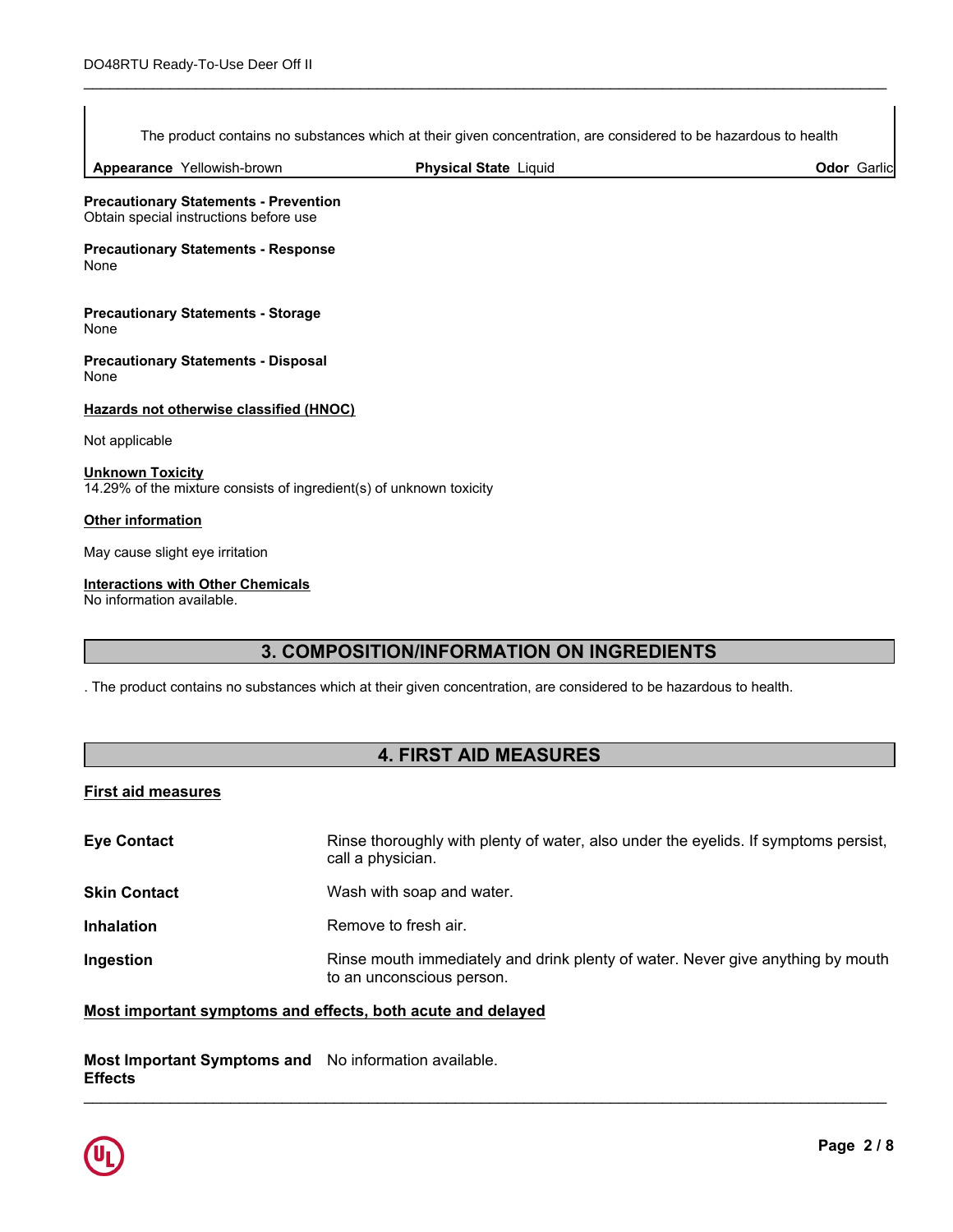The product contains no substances which at their given concentration, are considered to be hazardous to health

\_\_\_\_\_\_\_\_\_\_\_\_\_\_\_\_\_\_\_\_\_\_\_\_\_\_\_\_\_\_\_\_\_\_\_\_\_\_\_\_\_\_\_\_\_\_\_\_\_\_\_\_\_\_\_\_\_\_\_\_\_\_\_\_\_\_\_\_\_\_\_\_\_\_\_\_\_\_\_\_\_\_\_\_\_\_\_\_\_\_\_\_\_

**Appearance** Yellowish-brown

**Physical State Liquid Contract Contract Contract Contract Contract Contract Contract Contract Contract Contract Contract Contract Contract Contract Contract Contract Contract Contract Contract Contract Contract Contract C** 

**Precautionary Statements - Prevention** Obtain special instructions before use

**Precautionary Statements - Response** None

**Precautionary Statements - Storage** None

**Precautionary Statements - Disposal** None

#### **Hazards not otherwise classified (HNOC)**

Not applicable

**Unknown Toxicity** 14.29% of the mixture consists of ingredient(s) of unknown toxicity

#### **Other information**

May cause slight eye irritation

#### **Interactions with Other Chemicals**

No information available.

# **3. COMPOSITION/INFORMATION ON INGREDIENTS**

. The product contains no substances which at their given concentration, are considered to be hazardous to health.

# **4. FIRST AID MEASURES**

#### **First aid measures**

| <b>Eye Contact</b>  | Rinse thoroughly with plenty of water, also under the eyelids. If symptoms persist,<br>call a physician.     |
|---------------------|--------------------------------------------------------------------------------------------------------------|
| <b>Skin Contact</b> | Wash with soap and water.                                                                                    |
| <b>Inhalation</b>   | Remove to fresh air.                                                                                         |
| Ingestion           | Rinse mouth immediately and drink plenty of water. Never give anything by mouth<br>to an unconscious person. |

#### **Most important symptoms and effects, both acute and delayed**

#### **Most Important Symptoms and** No information available. **Effects** \_\_\_\_\_\_\_\_\_\_\_\_\_\_\_\_\_\_\_\_\_\_\_\_\_\_\_\_\_\_\_\_\_\_\_\_\_\_\_\_\_\_\_\_\_\_\_\_\_\_\_\_\_\_\_\_\_\_\_\_\_\_\_\_\_\_\_\_\_\_\_\_\_\_\_\_\_\_\_\_\_\_\_\_\_\_\_\_\_\_\_\_\_

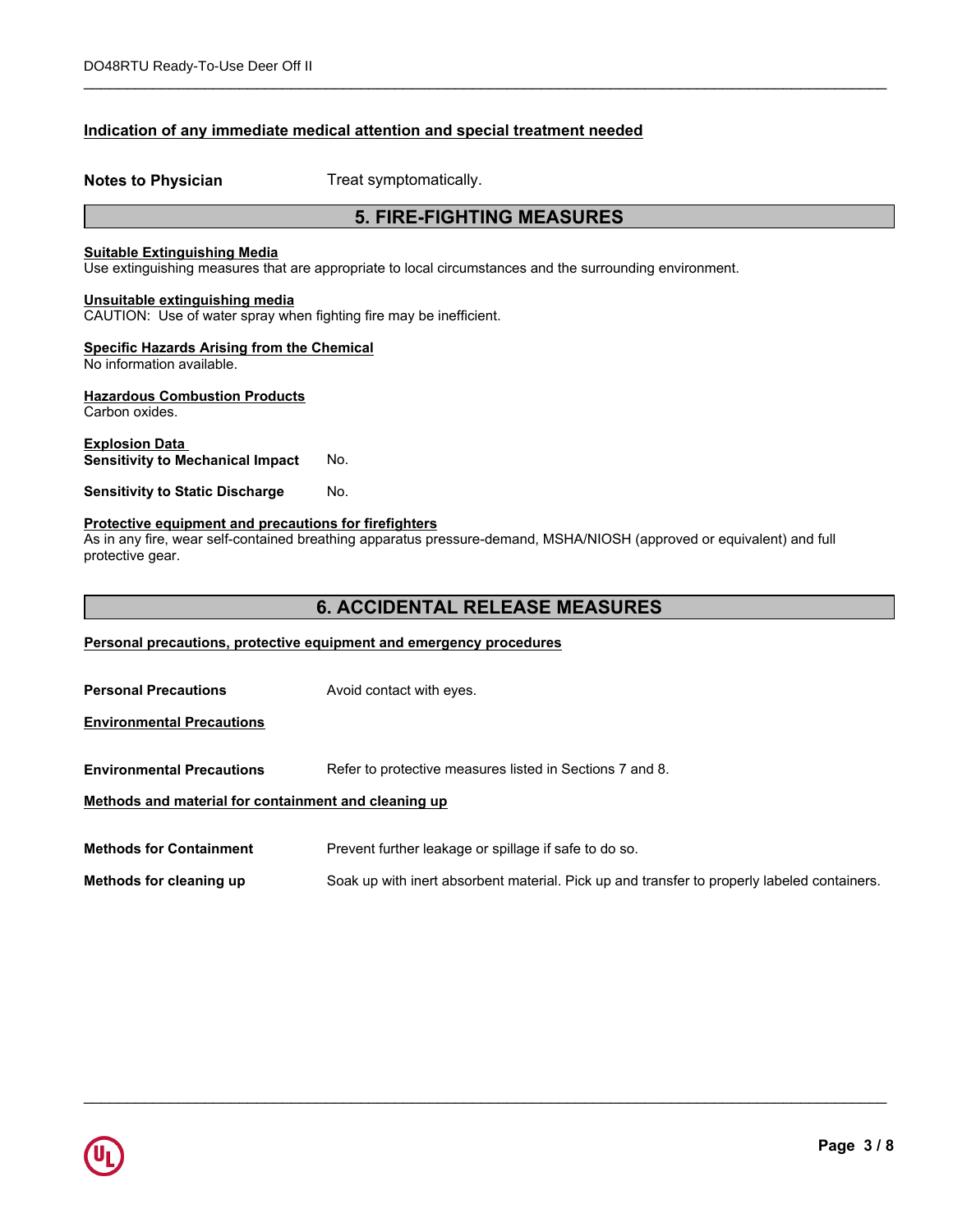#### **Indication of any immediate medical attention and special treatment needed**

**Notes to Physician** Treat symptomatically.

# **5. FIRE-FIGHTING MEASURES**

\_\_\_\_\_\_\_\_\_\_\_\_\_\_\_\_\_\_\_\_\_\_\_\_\_\_\_\_\_\_\_\_\_\_\_\_\_\_\_\_\_\_\_\_\_\_\_\_\_\_\_\_\_\_\_\_\_\_\_\_\_\_\_\_\_\_\_\_\_\_\_\_\_\_\_\_\_\_\_\_\_\_\_\_\_\_\_\_\_\_\_\_\_

#### **Suitable Extinguishing Media**

Use extinguishing measures that are appropriate to local circumstances and the surrounding environment.

#### **Unsuitable extinguishing media**

CAUTION: Use of water spray when fighting fire may be inefficient.

#### **Specific Hazards Arising from the Chemical**

No information available.

# **Hazardous Combustion Products**

Carbon oxides.

#### **Explosion Data Sensitivity to Mechanical Impact** No.

#### **Sensitivity to Static Discharge No.**

#### **Protective equipment and precautions for firefighters**

As in any fire, wear self-contained breathing apparatus pressure-demand, MSHA/NIOSH (approved or equivalent) and full protective gear.

### **6. ACCIDENTAL RELEASE MEASURES**

#### **Personal precautions, protective equipment and emergency procedures**

| <b>Personal Precautions</b>                          | Avoid contact with eyes.                                                                    |  |  |
|------------------------------------------------------|---------------------------------------------------------------------------------------------|--|--|
| <b>Environmental Precautions</b>                     |                                                                                             |  |  |
| <b>Environmental Precautions</b>                     | Refer to protective measures listed in Sections 7 and 8.                                    |  |  |
| Methods and material for containment and cleaning up |                                                                                             |  |  |
| <b>Methods for Containment</b>                       | Prevent further leakage or spillage if safe to do so.                                       |  |  |
| Methods for cleaning up                              | Soak up with inert absorbent material. Pick up and transfer to properly labeled containers. |  |  |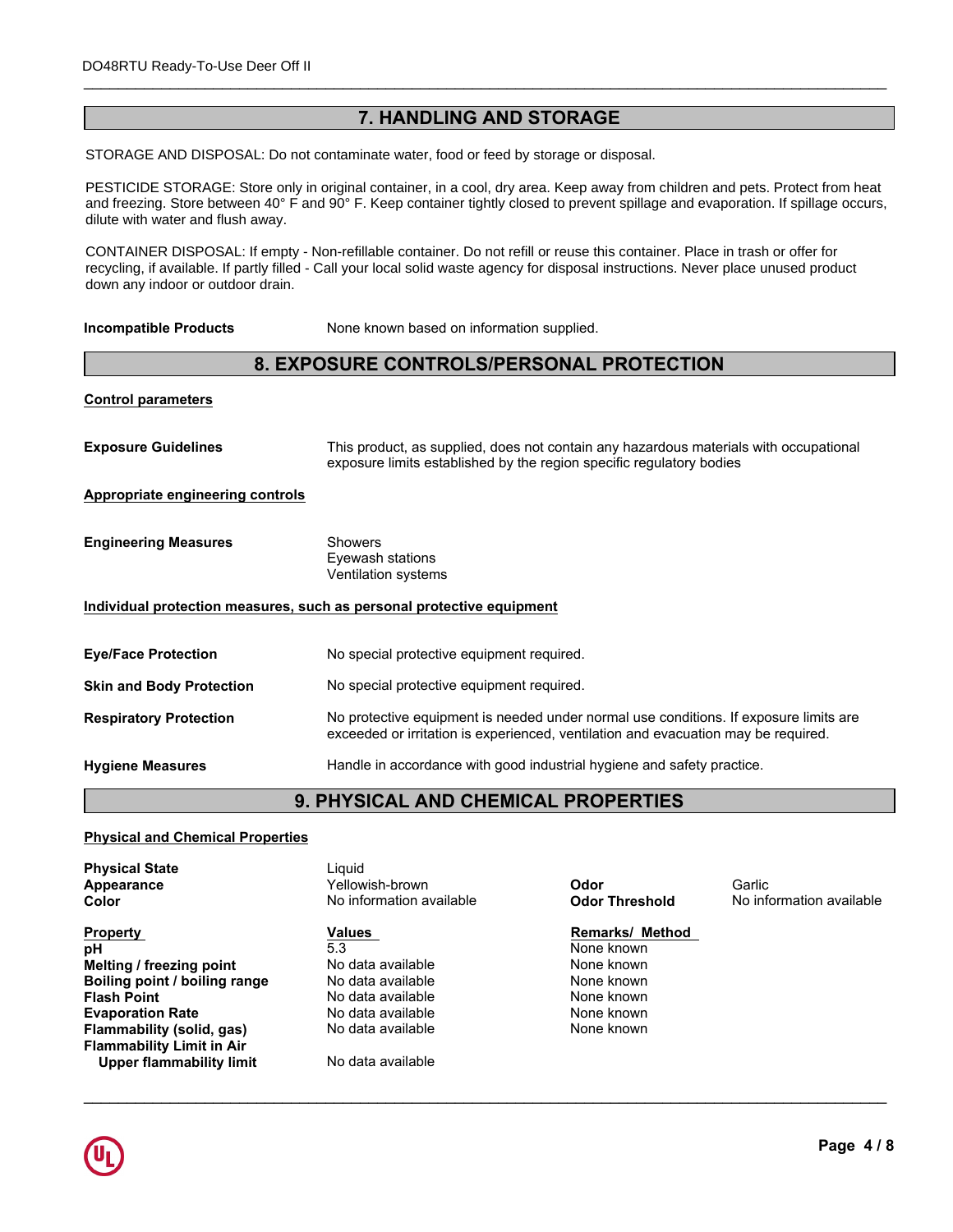# **7. HANDLING AND STORAGE**

\_\_\_\_\_\_\_\_\_\_\_\_\_\_\_\_\_\_\_\_\_\_\_\_\_\_\_\_\_\_\_\_\_\_\_\_\_\_\_\_\_\_\_\_\_\_\_\_\_\_\_\_\_\_\_\_\_\_\_\_\_\_\_\_\_\_\_\_\_\_\_\_\_\_\_\_\_\_\_\_\_\_\_\_\_\_\_\_\_\_\_\_\_

STORAGE AND DISPOSAL: Do not contaminate water, food or feed by storage or disposal.

and freezing. Store between 40° F and 90° F. Keep container tightly closed to prevent spillage and evaporation. If spillage occurs, eyes. PESTICIDE STORAGE: Store only in original container, in a cool, dry area. Keep away from children and pets. Protect from heat dilute with water and flush away.

CONTAINER DISPOSAL: If empty - Non-refillable container. Do not refill or reuse this container. Place in trash or offer for **Storage** Keep container tightly closed. recycling, if available. If partly filled - Call your local solid waste agency for disposal instructions. Never place unused product down any indoor or outdoor drain.

**Incompatible Products** None known based on information supplied.

# **8. EXPOSURE CONTROLS/PERSONAL PROTECTION**

| <b>Control parameters</b>                                             |                                                                                                                                                                             |  |  |
|-----------------------------------------------------------------------|-----------------------------------------------------------------------------------------------------------------------------------------------------------------------------|--|--|
| <b>Exposure Guidelines</b>                                            | This product, as supplied, does not contain any hazardous materials with occupational<br>exposure limits established by the region specific regulatory bodies               |  |  |
| <b>Appropriate engineering controls</b>                               |                                                                                                                                                                             |  |  |
| <b>Engineering Measures</b>                                           | Showers<br>Eyewash stations<br>Ventilation systems                                                                                                                          |  |  |
| Individual protection measures, such as personal protective equipment |                                                                                                                                                                             |  |  |
| <b>Eye/Face Protection</b>                                            | No special protective equipment required.                                                                                                                                   |  |  |
| <b>Skin and Body Protection</b>                                       | No special protective equipment required.                                                                                                                                   |  |  |
| <b>Respiratory Protection</b>                                         | No protective equipment is needed under normal use conditions. If exposure limits are<br>exceeded or irritation is experienced, ventilation and evacuation may be required. |  |  |
| <b>Hygiene Measures</b>                                               | Handle in accordance with good industrial hygiene and safety practice.                                                                                                      |  |  |

# **9. PHYSICAL AND CHEMICAL PROPERTIES**

#### **Physical and Chemical Properties**

| <b>Physical State</b>            | Liguid                   |                        |                          |
|----------------------------------|--------------------------|------------------------|--------------------------|
| Appearance                       | Yellowish-brown          | Odor                   | Garlic                   |
| <b>Color</b>                     | No information available | <b>Odor Threshold</b>  | No information available |
| <b>Property</b>                  | Values                   | <b>Remarks/ Method</b> |                          |
| рH                               | 5.3                      | None known             |                          |
| Melting / freezing point         | No data available        | None known             |                          |
| Boiling point / boiling range    | No data available        | None known             |                          |
| <b>Flash Point</b>               | No data available        | None known             |                          |
| <b>Evaporation Rate</b>          | No data available        | None known             |                          |
| Flammability (solid, gas)        | No data available        | None known             |                          |
| <b>Flammability Limit in Air</b> |                          |                        |                          |
| Upper flammability limit         | No data available        |                        |                          |

# **Remarks/ Method**<br>None known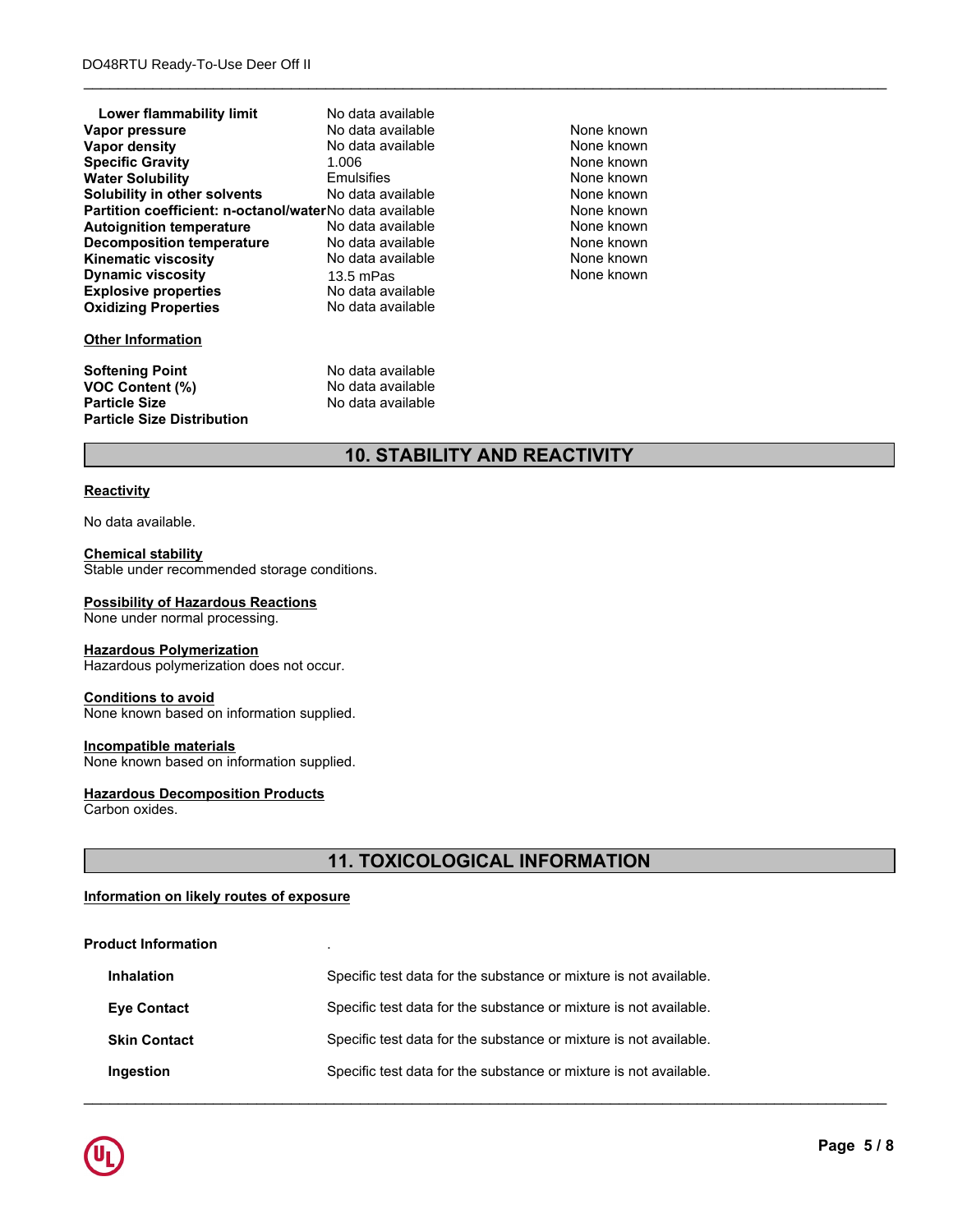| Lower flammability limit                                | No data available |            |  |
|---------------------------------------------------------|-------------------|------------|--|
| Vapor pressure                                          | No data available | None known |  |
| Vapor density                                           | No data available | None known |  |
| <b>Specific Gravity</b>                                 | 1.006             | None known |  |
| <b>Water Solubility</b>                                 | <b>Emulsifies</b> | None known |  |
| Solubility in other solvents                            | No data available | None known |  |
| Partition coefficient: n-octanol/waterNo data available |                   | None known |  |
| <b>Autoignition temperature</b>                         | No data available | None known |  |
| <b>Decomposition temperature</b>                        | No data available | None known |  |
| <b>Kinematic viscosity</b>                              | No data available | None known |  |
| <b>Dynamic viscosity</b>                                | $13.5$ mPas       | None known |  |
| <b>Explosive properties</b>                             | No data available |            |  |
| <b>Oxidizing Properties</b>                             | No data available |            |  |
| <b>Other Information</b>                                |                   |            |  |
| <b>Softening Point</b>                                  | No data available |            |  |
| VOC Content (%)                                         | No data available |            |  |
| <b>Particle Size</b>                                    | No data available |            |  |
| <b>Particle Size Distribution</b>                       |                   |            |  |

\_\_\_\_\_\_\_\_\_\_\_\_\_\_\_\_\_\_\_\_\_\_\_\_\_\_\_\_\_\_\_\_\_\_\_\_\_\_\_\_\_\_\_\_\_\_\_\_\_\_\_\_\_\_\_\_\_\_\_\_\_\_\_\_\_\_\_\_\_\_\_\_\_\_\_\_\_\_\_\_\_\_\_\_\_\_\_\_\_\_\_\_\_

# **10. STABILITY AND REACTIVITY**

#### **Reactivity**

No data available.

#### **Chemical stability**

Stable under recommended storage conditions.

#### **Possibility of Hazardous Reactions**

None under normal processing.

#### **Hazardous Polymerization**

Hazardous polymerization does not occur.

#### **Conditions to avoid**

None known based on information supplied.

#### **Incompatible materials**

None known based on information supplied.

#### **Hazardous Decomposition Products**

Carbon oxides.

# **11. TOXICOLOGICAL INFORMATION**

\_\_\_\_\_\_\_\_\_\_\_\_\_\_\_\_\_\_\_\_\_\_\_\_\_\_\_\_\_\_\_\_\_\_\_\_\_\_\_\_\_\_\_\_\_\_\_\_\_\_\_\_\_\_\_\_\_\_\_\_\_\_\_\_\_\_\_\_\_\_\_\_\_\_\_\_\_\_\_\_\_\_\_\_\_\_\_\_\_\_\_\_\_

#### **Information on likely routes of exposure**

#### **Product Information** .

| <b>Inhalation</b>   | Specific test data for the substance or mixture is not available. |
|---------------------|-------------------------------------------------------------------|
| <b>Eve Contact</b>  | Specific test data for the substance or mixture is not available. |
| <b>Skin Contact</b> | Specific test data for the substance or mixture is not available. |
| Ingestion           | Specific test data for the substance or mixture is not available. |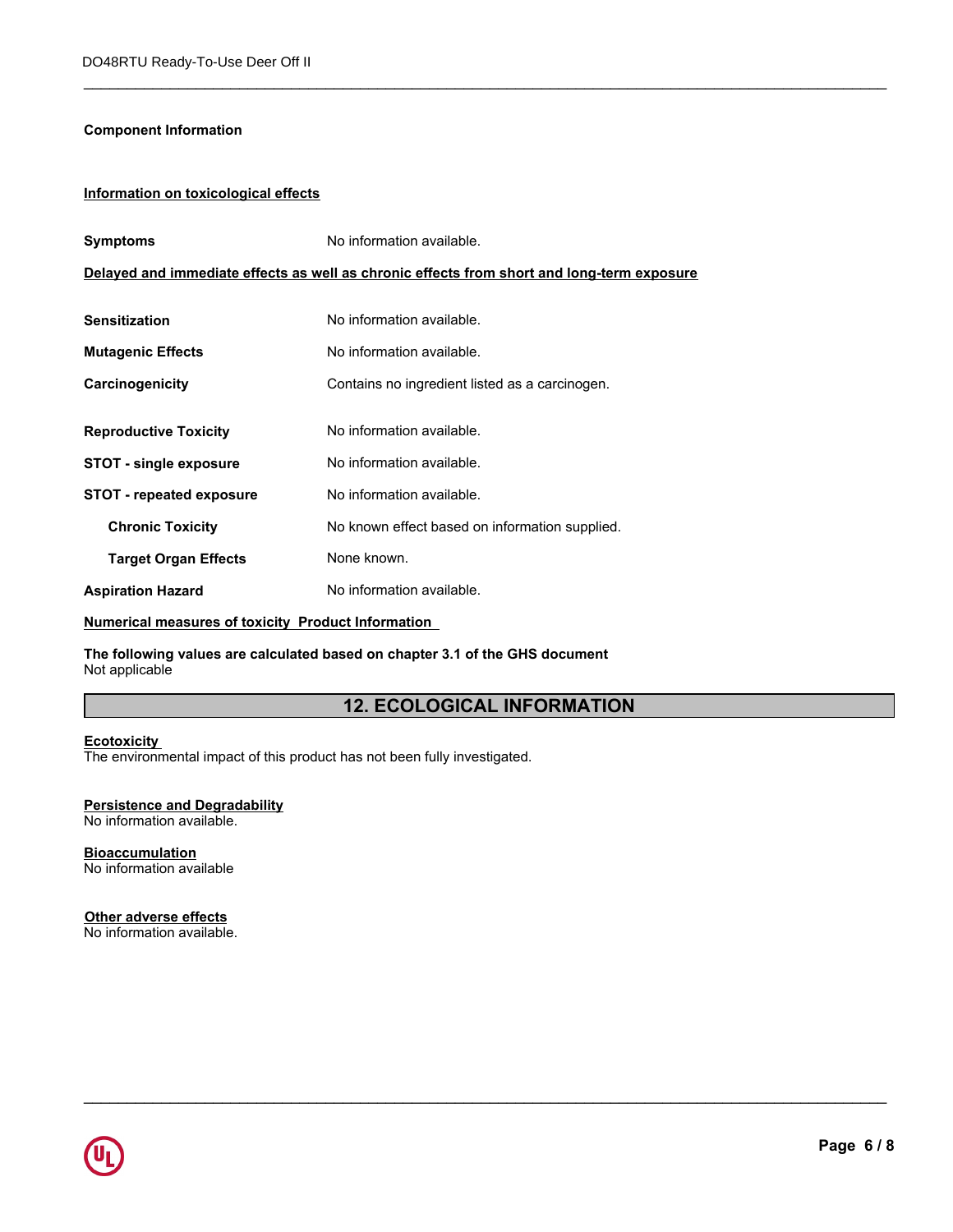#### **Component Information**

#### **Information on toxicological effects**

| <b>Symptoms</b>                                    | No information available.                                                                  |  |
|----------------------------------------------------|--------------------------------------------------------------------------------------------|--|
|                                                    | Delayed and immediate effects as well as chronic effects from short and long-term exposure |  |
|                                                    |                                                                                            |  |
| <b>Sensitization</b>                               | No information available.                                                                  |  |
| <b>Mutagenic Effects</b>                           | No information available.                                                                  |  |
| Carcinogenicity                                    | Contains no ingredient listed as a carcinogen.                                             |  |
|                                                    |                                                                                            |  |
| <b>Reproductive Toxicity</b>                       | No information available.                                                                  |  |
| <b>STOT - single exposure</b>                      | No information available.                                                                  |  |
| <b>STOT</b> - repeated exposure                    | No information available.                                                                  |  |
| <b>Chronic Toxicity</b>                            | No known effect based on information supplied.                                             |  |
| <b>Target Organ Effects</b>                        | None known.                                                                                |  |
| <b>Aspiration Hazard</b>                           | No information available.                                                                  |  |
| Numerical measures of toxicity Product Information |                                                                                            |  |

**The following values are calculated based on chapter 3.1 of the GHS document** Not applicable

# **12. ECOLOGICAL INFORMATION**

\_\_\_\_\_\_\_\_\_\_\_\_\_\_\_\_\_\_\_\_\_\_\_\_\_\_\_\_\_\_\_\_\_\_\_\_\_\_\_\_\_\_\_\_\_\_\_\_\_\_\_\_\_\_\_\_\_\_\_\_\_\_\_\_\_\_\_\_\_\_\_\_\_\_\_\_\_\_\_\_\_\_\_\_\_\_\_\_\_\_\_\_\_

\_\_\_\_\_\_\_\_\_\_\_\_\_\_\_\_\_\_\_\_\_\_\_\_\_\_\_\_\_\_\_\_\_\_\_\_\_\_\_\_\_\_\_\_\_\_\_\_\_\_\_\_\_\_\_\_\_\_\_\_\_\_\_\_\_\_\_\_\_\_\_\_\_\_\_\_\_\_\_\_\_\_\_\_\_\_\_\_\_\_\_\_\_

#### **Ecotoxicity**

The environmental impact of this product has not been fully investigated.

# **Persistence and Degradability**

No information available.

#### **Bioaccumulation** No information available

**Other adverse effects** No information available.

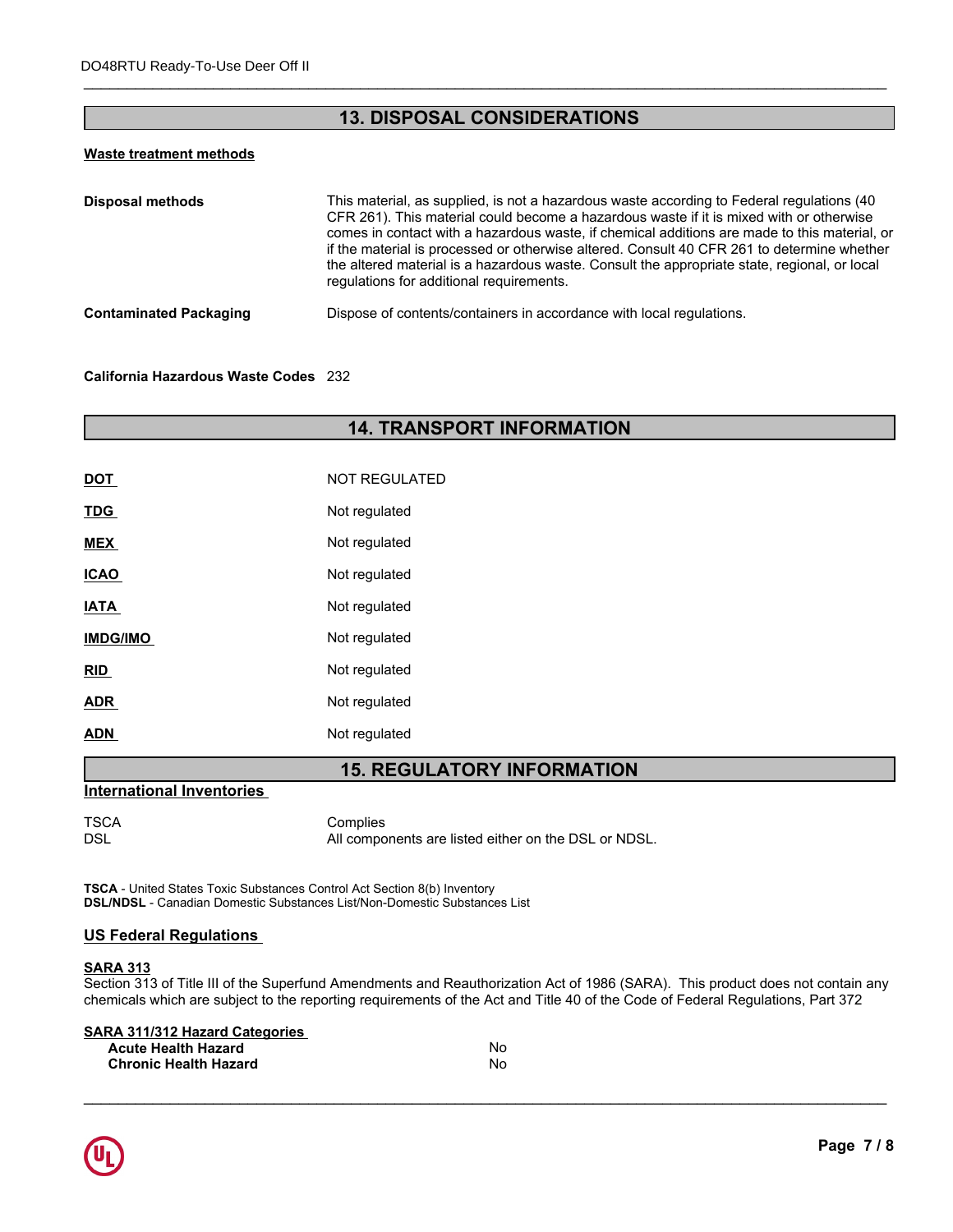# **13. DISPOSAL CONSIDERATIONS**

\_\_\_\_\_\_\_\_\_\_\_\_\_\_\_\_\_\_\_\_\_\_\_\_\_\_\_\_\_\_\_\_\_\_\_\_\_\_\_\_\_\_\_\_\_\_\_\_\_\_\_\_\_\_\_\_\_\_\_\_\_\_\_\_\_\_\_\_\_\_\_\_\_\_\_\_\_\_\_\_\_\_\_\_\_\_\_\_\_\_\_\_\_

#### **Waste treatment methods**

| This material, as supplied, is not a hazardous waste according to Federal regulations (40<br>CFR 261). This material could become a hazardous waste if it is mixed with or otherwise<br>comes in contact with a hazardous waste, if chemical additions are made to this material, or<br>if the material is processed or otherwise altered. Consult 40 CFR 261 to determine whether<br>the altered material is a hazardous waste. Consult the appropriate state, regional, or local<br>regulations for additional requirements. |
|--------------------------------------------------------------------------------------------------------------------------------------------------------------------------------------------------------------------------------------------------------------------------------------------------------------------------------------------------------------------------------------------------------------------------------------------------------------------------------------------------------------------------------|
| Dispose of contents/containers in accordance with local regulations.                                                                                                                                                                                                                                                                                                                                                                                                                                                           |
|                                                                                                                                                                                                                                                                                                                                                                                                                                                                                                                                |

#### **California Hazardous Waste Codes** 232

# **14. TRANSPORT INFORMATION**

| <b>DOT</b>      | NOT REGULATED |
|-----------------|---------------|
| <b>TDG</b>      | Not regulated |
| <b>MEX</b>      | Not regulated |
| <b>ICAO</b>     | Not regulated |
| <b>IATA</b>     | Not regulated |
| <b>IMDG/IMO</b> | Not regulated |
| RID             | Not regulated |
| <b>ADR</b>      | Not regulated |
| <b>ADN</b>      | Not regulated |
|                 |               |

# **15. REGULATORY INFORMATION**

#### **International Inventories**

TSCA Complies All components are listed either on the DSL or NDSL.

**TSCA** - United States Toxic Substances Control Act Section 8(b) Inventory **DSL/NDSL** - Canadian Domestic Substances List/Non-Domestic Substances List

#### **US Federal Regulations**

#### **SARA 313**

Section 313 of Title III of the Superfund Amendments and Reauthorization Act of 1986 (SARA). This product does not contain any chemicals which are subject to the reporting requirements of the Act and Title 40 of the Code of Federal Regulations, Part 372

| <b>SARA 311/312 Hazard Categories</b> |    |
|---------------------------------------|----|
| <b>Acute Health Hazard</b>            | No |
| <b>Chronic Health Hazard</b>          | No |